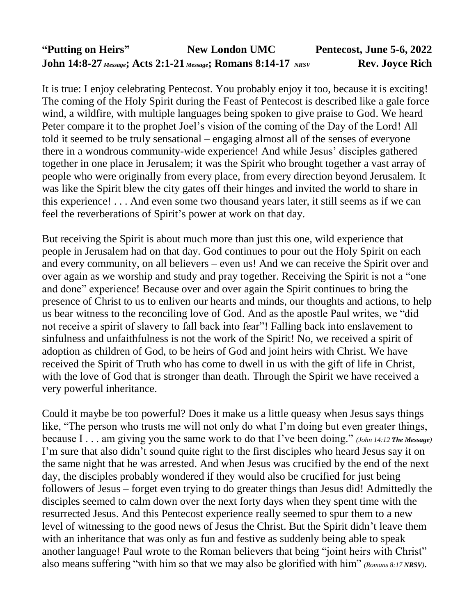## **"Putting on Heirs" New London UMC Pentecost, June 5-6, 2022 John 14:8-27** *Message***; Acts 2:1-21** *Message***; Romans 8:14-17** *NRSV* **Rev. Joyce Rich**

It is true: I enjoy celebrating Pentecost. You probably enjoy it too, because it is exciting! The coming of the Holy Spirit during the Feast of Pentecost is described like a gale force wind, a wildfire, with multiple languages being spoken to give praise to God. We heard Peter compare it to the prophet Joel's vision of the coming of the Day of the Lord! All told it seemed to be truly sensational – engaging almost all of the senses of everyone there in a wondrous community-wide experience! And while Jesus' disciples gathered together in one place in Jerusalem; it was the Spirit who brought together a vast array of people who were originally from every place, from every direction beyond Jerusalem. It was like the Spirit blew the city gates off their hinges and invited the world to share in this experience! . . . And even some two thousand years later, it still seems as if we can feel the reverberations of Spirit's power at work on that day.

But receiving the Spirit is about much more than just this one, wild experience that people in Jerusalem had on that day. God continues to pour out the Holy Spirit on each and every community, on all believers – even us! And we can receive the Spirit over and over again as we worship and study and pray together. Receiving the Spirit is not a "one and done" experience! Because over and over again the Spirit continues to bring the presence of Christ to us to enliven our hearts and minds, our thoughts and actions, to help us bear witness to the reconciling love of God. And as the apostle Paul writes, we "did not receive a spirit of slavery to fall back into fear"! Falling back into enslavement to sinfulness and unfaithfulness is not the work of the Spirit! No, we received a spirit of adoption as children of God, to be heirs of God and joint heirs with Christ. We have received the Spirit of Truth who has come to dwell in us with the gift of life in Christ, with the love of God that is stronger than death. Through the Spirit we have received a very powerful inheritance.

Could it maybe be too powerful? Does it make us a little queasy when Jesus says things like, "The person who trusts me will not only do what I'm doing but even greater things, because I . . . am giving you the same work to do that I've been doing." *(John 14:12 The Message)* I'm sure that also didn't sound quite right to the first disciples who heard Jesus say it on the same night that he was arrested. And when Jesus was crucified by the end of the next day, the disciples probably wondered if they would also be crucified for just being followers of Jesus – forget even trying to do greater things than Jesus did! Admittedly the disciples seemed to calm down over the next forty days when they spent time with the resurrected Jesus. And this Pentecost experience really seemed to spur them to a new level of witnessing to the good news of Jesus the Christ. But the Spirit didn't leave them with an inheritance that was only as fun and festive as suddenly being able to speak another language! Paul wrote to the Roman believers that being "joint heirs with Christ" also means suffering "with him so that we may also be glorified with him" *(Romans 8:17 NRSV)*.